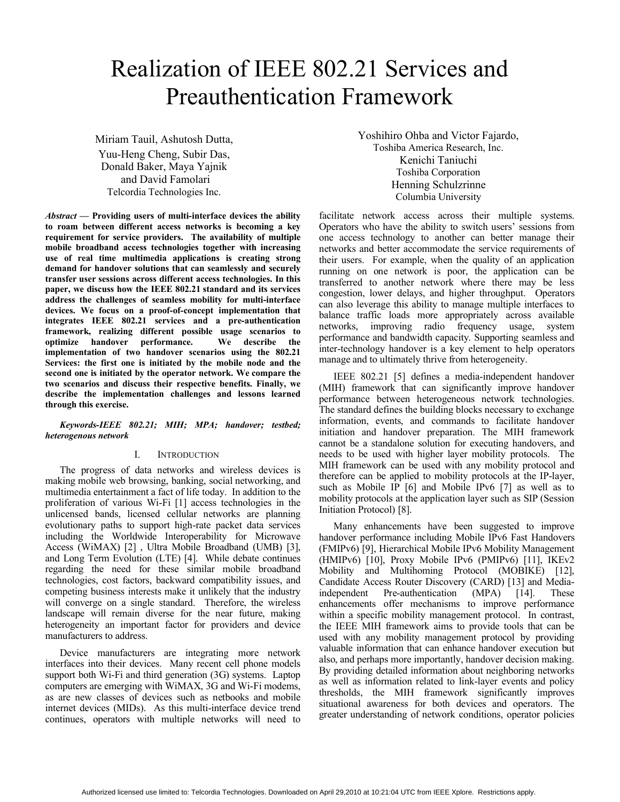# Realization of IEEE 802.21 Services and Preauthentication Framework

Miriam Tauil, Ashutosh Dutta, Yuu-Heng Cheng, Subir Das, Donald Baker, Maya Yajnik and David Famolari Telcordia Technologies Inc.

*Abstract* **— Providing users of multi-interface devices the ability to roam between different access networks is becoming a key requirement for service providers. The availability of multiple mobile broadband access technologies together with increasing use of real time multimedia applications is creating strong demand for handover solutions that can seamlessly and securely transfer user sessions across different access technologies. In this paper, we discuss how the IEEE 802.21 standard and its services address the challenges of seamless mobility for multi-interface devices. We focus on a proof-of-concept implementation that integrates IEEE 802.21 services and a pre-authentication framework, realizing different possible usage scenarios to optimize handover performance. We describe the implementation of two handover scenarios using the 802.21 Services: the first one is initiated by the mobile node and the second one is initiated by the operator network. We compare the two scenarios and discuss their respective benefits. Finally, we describe the implementation challenges and lessons learned through this exercise.**

## *Keywords-IEEE 802.21; MIH; MPA; handover; testbed; heterogenous network*

## I. INTRODUCTION

The progress of data networks and wireless devices is making mobile web browsing, banking, social networking, and multimedia entertainment a fact of life today. In addition to the proliferation of various Wi-Fi [1] access technologies in the unlicensed bands, licensed cellular networks are planning evolutionary paths to support high-rate packet data services including the Worldwide Interoperability for Microwave Access (WiMAX) [2] , Ultra Mobile Broadband (UMB) [3], and Long Term Evolution (LTE) [4]. While debate continues regarding the need for these similar mobile broadband technologies, cost factors, backward compatibility issues, and competing business interests make it unlikely that the industry will converge on a single standard. Therefore, the wireless landscape will remain diverse for the near future, making heterogeneity an important factor for providers and device manufacturers to address.

Device manufacturers are integrating more network interfaces into their devices. Many recent cell phone models support both Wi-Fi and third generation (3G) systems. Laptop computers are emerging with WiMAX, 3G and Wi-Fi modems, as are new classes of devices such as netbooks and mobile internet devices (MIDs). As this multi-interface device trend continues, operators with multiple networks will need to

Yoshihiro Ohba and Victor Fajardo, Toshiba America Research, Inc. Kenichi Taniuchi Toshiba Corporation Henning Schulzrinne Columbia University

facilitate network access across their multiple systems. Operators who have the ability to switch users' sessions from one access technology to another can better manage their networks and better accommodate the service requirements of their users. For example, when the quality of an application running on one network is poor, the application can be transferred to another network where there may be less congestion, lower delays, and higher throughput. Operators can also leverage this ability to manage multiple interfaces to balance traffic loads more appropriately across available networks, improving radio frequency usage, system performance and bandwidth capacity. Supporting seamless and inter-technology handover is a key element to help operators manage and to ultimately thrive from heterogeneity.

IEEE 802.21 [5] defines a media-independent handover (MIH) framework that can significantly improve handover performance between heterogeneous network technologies. The standard defines the building blocks necessary to exchange information, events, and commands to facilitate handover initiation and handover preparation. The MIH framework cannot be a standalone solution for executing handovers, and needs to be used with higher layer mobility protocols. The MIH framework can be used with any mobility protocol and therefore can be applied to mobility protocols at the IP-layer, such as Mobile IP [6] and Mobile IPv6 [7] as well as to mobility protocols at the application layer such as SIP (Session Initiation Protocol) [8].

Many enhancements have been suggested to improve handover performance including Mobile IPv6 Fast Handovers (FMIPv6) [9], Hierarchical Mobile IPv6 Mobility Management (HMIPv6) [10], Proxy Mobile IPv6 (PMIPv6) [11], IKEv2 Mobility and Multihoming Protocol (MOBIKE) [12], Candidate Access Router Discovery (CARD) [13] and Mediaindependent Pre-authentication (MPA) [14]. These enhancements offer mechanisms to improve performance within a specific mobility management protocol. In contrast, the IEEE MIH framework aims to provide tools that can be used with any mobility management protocol by providing valuable information that can enhance handover execution but also, and perhaps more importantly, handover decision making. By providing detailed information about neighboring networks as well as information related to link-layer events and policy thresholds, the MIH framework significantly improves situational awareness for both devices and operators. The greater understanding of network conditions, operator policies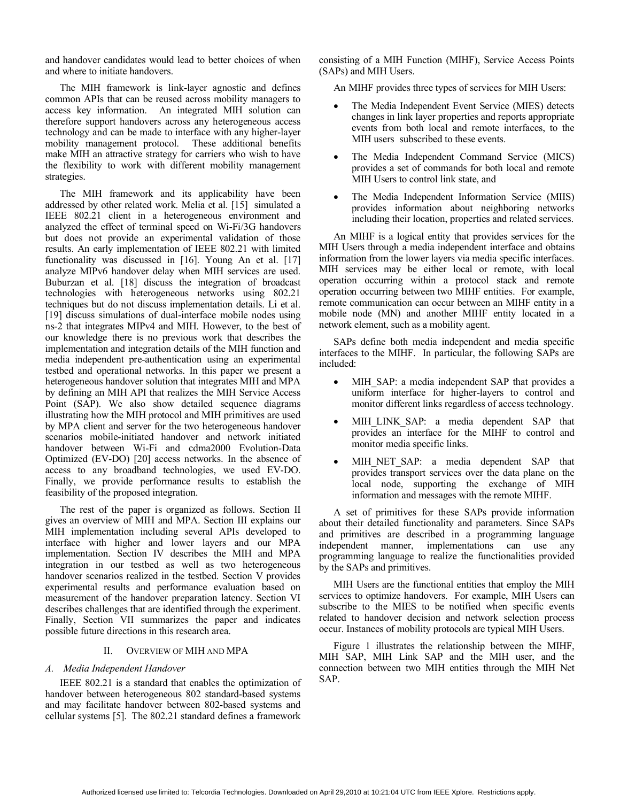and handover candidates would lead to better choices of when and where to initiate handovers.

The MIH framework is link-layer agnostic and defines common APIs that can be reused across mobility managers to access key information. An integrated MIH solution can therefore support handovers across any heterogeneous access technology and can be made to interface with any higher-layer mobility management protocol. These additional benefits make MIH an attractive strategy for carriers who wish to have the flexibility to work with different mobility management strategies.

The MIH framework and its applicability have been addressed by other related work. Melia et al. [15] simulated a IEEE 802.21 client in a heterogeneous environment and analyzed the effect of terminal speed on Wi-Fi/3G handovers but does not provide an experimental validation of those results. An early implementation of IEEE 802.21 with limited functionality was discussed in [16]. Young An et al. [17] analyze MIPv6 handover delay when MIH services are used. Buburzan et al. [18] discuss the integration of broadcast technologies with heterogeneous networks using 802.21 techniques but do not discuss implementation details. Li et al. [19] discuss simulations of dual-interface mobile nodes using ns-2 that integrates MIPv4 and MIH. However, to the best of our knowledge there is no previous work that describes the implementation and integration details of the MIH function and media independent pre-authentication using an experimental testbed and operational networks. In this paper we present a heterogeneous handover solution that integrates MIH and MPA by defining an MIH API that realizes the MIH Service Access Point (SAP). We also show detailed sequence diagrams illustrating how the MIH protocol and MIH primitives are used by MPA client and server for the two heterogeneous handover scenarios mobile-initiated handover and network initiated handover between Wi-Fi and cdma2000 Evolution-Data Optimized (EV-DO) [20] access networks. In the absence of access to any broadband technologies, we used EV-DO. Finally, we provide performance results to establish the feasibility of the proposed integration.

The rest of the paper is organized as follows. Section II gives an overview of MIH and MPA. Section III explains our MIH implementation including several APIs developed to interface with higher and lower layers and our MPA implementation. Section IV describes the MIH and MPA integration in our testbed as well as two heterogeneous handover scenarios realized in the testbed. Section V provides experimental results and performance evaluation based on measurement of the handover preparation latency. Section VI describes challenges that are identified through the experiment. Finally, Section VII summarizes the paper and indicates possible future directions in this research area.

#### II. OVERVIEW OF MIH AND MPA

## *A. Media Independent Handover*

IEEE 802.21 is a standard that enables the optimization of handover between heterogeneous 802 standard-based systems and may facilitate handover between 802-based systems and cellular systems [5]. The 802.21 standard defines a framework consisting of a MIH Function (MIHF), Service Access Points (SAPs) and MIH Users.

An MIHF provides three types of services for MIH Users:

- The Media Independent Event Service (MIES) detects changes in link layer properties and reports appropriate events from both local and remote interfaces, to the MIH users subscribed to these events.
- The Media Independent Command Service (MICS) provides a set of commands for both local and remote MIH Users to control link state, and
- The Media Independent Information Service (MIIS) provides information about neighboring networks including their location, properties and related services.

An MIHF is a logical entity that provides services for the MIH Users through a media independent interface and obtains information from the lower layers via media specific interfaces. MIH services may be either local or remote, with local operation occurring within a protocol stack and remote operation occurring between two MIHF entities. For example, remote communication can occur between an MIHF entity in a mobile node (MN) and another MIHF entity located in a network element, such as a mobility agent.

SAPs define both media independent and media specific interfaces to the MIHF. In particular, the following SAPs are included:

- MIH\_SAP: a media independent SAP that provides a uniform interface for higher-layers to control and monitor different links regardless of access technology.
- MIH\_LINK\_SAP: a media dependent SAP that provides an interface for the MIHF to control and monitor media specific links.
- MIH\_NET\_SAP: a media dependent SAP that provides transport services over the data plane on the local node, supporting the exchange of MIH information and messages with the remote MIHF.

A set of primitives for these SAPs provide information about their detailed functionality and parameters. Since SAPs and primitives are described in a programming language independent manner, implementations can use any programming language to realize the functionalities provided by the SAPs and primitives.

MIH Users are the functional entities that employ the MIH services to optimize handovers. For example, MIH Users can subscribe to the MIES to be notified when specific events related to handover decision and network selection process occur. Instances of mobility protocols are typical MIH Users.

Figure 1 illustrates the relationship between the MIHF, MIH SAP, MIH Link SAP and the MIH user, and the connection between two MIH entities through the MIH Net SAP.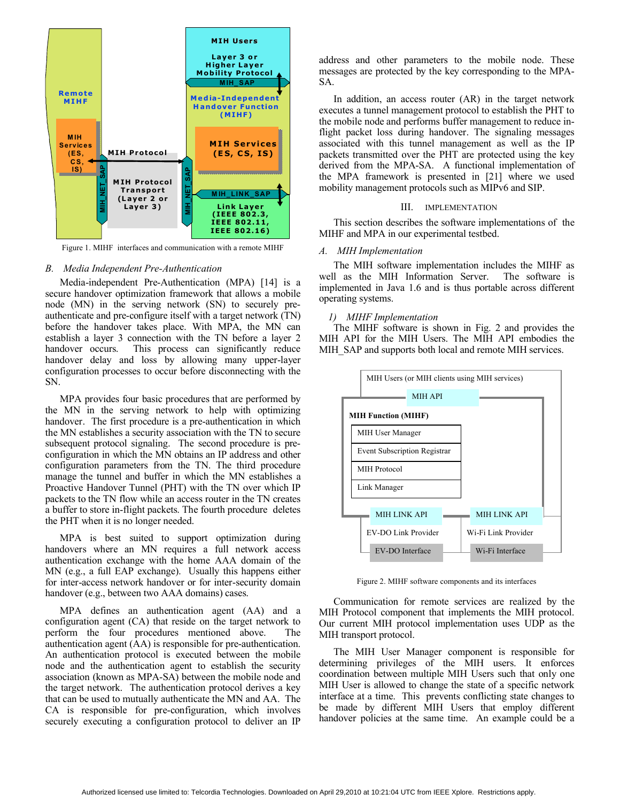

Figure 1. MIHF interfaces and communication with a remote MIHF

### *B. Media Independent Pre-Authentication*

Media-independent Pre-Authentication (MPA) [14] is a secure handover optimization framework that allows a mobile node (MN) in the serving network (SN) to securely preauthenticate and pre-configure itself with a target network (TN) before the handover takes place. With MPA, the MN can establish a layer 3 connection with the TN before a layer 2 handover occurs. This process can significantly reduce handover delay and loss by allowing many upper-layer configuration processes to occur before disconnecting with the SN.

MPA provides four basic procedures that are performed by the MN in the serving network to help with optimizing handover. The first procedure is a pre-authentication in which the MN establishes a security association with the TN to secure subsequent protocol signaling. The second procedure is preconfiguration in which the MN obtains an IP address and other configuration parameters from the TN. The third procedure manage the tunnel and buffer in which the MN establishes a Proactive Handover Tunnel (PHT) with the TN over which IP packets to the TN flow while an access router in the TN creates a buffer to store in-flight packets. The fourth procedure deletes the PHT when it is no longer needed.

MPA is best suited to support optimization during handovers where an MN requires a full network access authentication exchange with the home AAA domain of the MN (e.g., a full EAP exchange). Usually this happens either for inter-access network handover or for inter-security domain handover (e.g., between two AAA domains) cases.

MPA defines an authentication agent (AA) and a configuration agent (CA) that reside on the target network to perform the four procedures mentioned above. The authentication agent (AA) is responsible for pre-authentication. An authentication protocol is executed between the mobile node and the authentication agent to establish the security association (known as MPA-SA) between the mobile node and the target network. The authentication protocol derives a key that can be used to mutually authenticate the MN and AA. The CA is responsible for pre-configuration, which involves securely executing a configuration protocol to deliver an IP

address and other parameters to the mobile node. These messages are protected by the key corresponding to the MPA-SA.

In addition, an access router (AR) in the target network executes a tunnel management protocol to establish the PHT to the mobile node and performs buffer management to reduce inflight packet loss during handover. The signaling messages associated with this tunnel management as well as the IP packets transmitted over the PHT are protected using the key derived from the MPA-SA. A functional implementation of the MPA framework is presented in [21] where we used mobility management protocols such as MIPv6 and SIP.

#### III. IMPLEMENTATION

This section describes the software implementations of the MIHF and MPA in our experimental testbed.

### *A. MIH Implementation*

The MIH software implementation includes the MIHF as well as the MIH Information Server. The software is implemented in Java 1.6 and is thus portable across different operating systems.

#### *1) MIHF Implementation*

The MIHF software is shown in Fig. 2 and provides the MIH API for the MIH Users. The MIH API embodies the MIH\_SAP and supports both local and remote MIH services.



Figure 2. MIHF software components and its interfaces

Communication for remote services are realized by the MIH Protocol component that implements the MIH protocol. Our current MIH protocol implementation uses UDP as the MIH transport protocol.

The MIH User Manager component is responsible for determining privileges of the MIH users. It enforces coordination between multiple MIH Users such that only one MIH User is allowed to change the state of a specific network interface at a time. This prevents conflicting state changes to be made by different MIH Users that employ different handover policies at the same time. An example could be a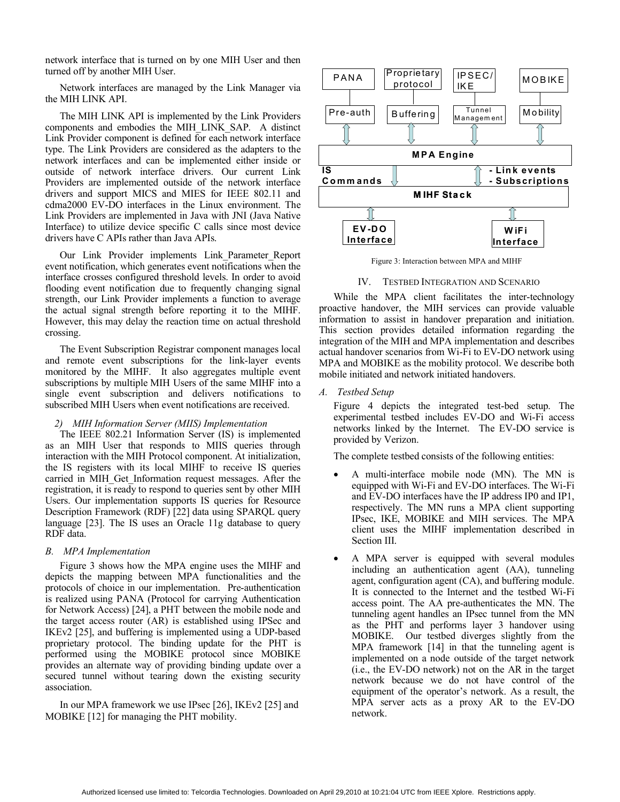network interface that is turned on by one MIH User and then turned off by another MIH User.

Network interfaces are managed by the Link Manager via the MIH LINK API.

The MIH LINK API is implemented by the Link Providers components and embodies the MIH\_LINK\_SAP. A distinct Link Provider component is defined for each network interface type. The Link Providers are considered as the adapters to the network interfaces and can be implemented either inside or outside of network interface drivers. Our current Link Providers are implemented outside of the network interface drivers and support MICS and MIES for IEEE 802.11 and cdma2000 EV-DO interfaces in the Linux environment. The Link Providers are implemented in Java with JNI (Java Native Interface) to utilize device specific C calls since most device drivers have C APIs rather than Java APIs.

Our Link Provider implements Link\_Parameter\_Report event notification, which generates event notifications when the interface crosses configured threshold levels. In order to avoid flooding event notification due to frequently changing signal strength, our Link Provider implements a function to average the actual signal strength before reporting it to the MIHF. However, this may delay the reaction time on actual threshold crossing.

The Event Subscription Registrar component manages local and remote event subscriptions for the link-layer events monitored by the MIHF. It also aggregates multiple event subscriptions by multiple MIH Users of the same MIHF into a single event subscription and delivers notifications to subscribed MIH Users when event notifications are received.

#### *2) MIH Information Server (MIIS) Implementation*

The IEEE 802.21 Information Server (IS) is implemented as an MIH User that responds to MIIS queries through interaction with the MIH Protocol component. At initialization, the IS registers with its local MIHF to receive IS queries carried in MIH\_Get\_Information request messages. After the registration, it is ready to respond to queries sent by other MIH Users. Our implementation supports IS queries for Resource Description Framework (RDF) [22] data using SPARQL query language [23]. The IS uses an Oracle 11g database to query RDF data.

#### *B. MPA Implementation*

Figure 3 shows how the MPA engine uses the MIHF and depicts the mapping between MPA functionalities and the protocols of choice in our implementation. Pre-authentication is realized using PANA (Protocol for carrying Authentication for Network Access) [24], a PHT between the mobile node and the target access router (AR) is established using IPSec and IKEv2 [25], and buffering is implemented using a UDP-based proprietary protocol. The binding update for the PHT is performed using the MOBIKE protocol since MOBIKE provides an alternate way of providing binding update over a secured tunnel without tearing down the existing security association.

In our MPA framework we use IPsec [26], IKEv2 [25] and MOBIKE [12] for managing the PHT mobility.



Figure 3: Interaction between MPA and MIHF

#### IV. TESTBED INTEGRATION AND SCENARIO

While the MPA client facilitates the inter-technology proactive handover, the MIH services can provide valuable information to assist in handover preparation and initiation. This section provides detailed information regarding the integration of the MIH and MPA implementation and describes actual handover scenarios from Wi-Fi to EV-DO network using MPA and MOBIKE as the mobility protocol. We describe both mobile initiated and network initiated handovers.

*A. Testbed Setup*

Figure 4 depicts the integrated test-bed setup. The experimental testbed includes EV-DO and Wi-Fi access networks linked by the Internet. The EV-DO service is provided by Verizon.

The complete testbed consists of the following entities:

- A multi-interface mobile node (MN). The MN is equipped with Wi-Fi and EV-DO interfaces. The Wi-Fi and EV-DO interfaces have the IP address IP0 and IP1, respectively. The MN runs a MPA client supporting IPsec, IKE, MOBIKE and MIH services. The MPA client uses the MIHF implementation described in Section III.
- A MPA server is equipped with several modules including an authentication agent (AA), tunneling agent, configuration agent (CA), and buffering module. It is connected to the Internet and the testbed Wi-Fi access point. The AA pre-authenticates the MN. The tunneling agent handles an IPsec tunnel from the MN as the PHT and performs layer 3 handover using MOBIKE. Our testbed diverges slightly from the MPA framework [14] in that the tunneling agent is implemented on a node outside of the target network (i.e., the EV-DO network) not on the AR in the target network because we do not have control of the equipment of the operator's network. As a result, the MPA server acts as a proxy AR to the EV-DO network.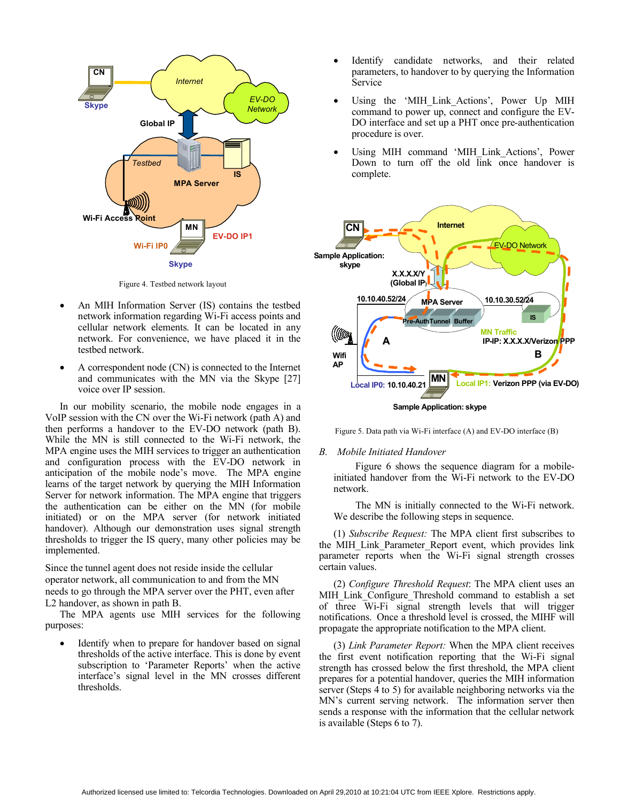

Figure 4. Testbed network layout

- An MIH Information Server (IS) contains the testbed network information regarding Wi-Fi access points and cellular network elements. It can be located in any network. For convenience, we have placed it in the testbed network.
- A correspondent node (CN) is connected to the Internet and communicates with the MN via the Skype [27] voice over IP session.

In our mobility scenario, the mobile node engages in a VoIP session with the CN over the Wi-Fi network (path A) and then performs a handover to the EV-DO network (path B). While the MN is still connected to the Wi-Fi network, the MPA engine uses the MIH services to trigger an authentication and configuration process with the EV-DO network in anticipation of the mobile node's move. The MPA engine learns of the target network by querying the MIH Information Server for network information. The MPA engine that triggers the authentication can be either on the MN (for mobile initiated) or on the MPA server (for network initiated handover). Although our demonstration uses signal strength thresholds to trigger the IS query, many other policies may be implemented.

Since the tunnel agent does not reside inside the cellular operator network, all communication to and from the MN needs to go through the MPA server over the PHT, even after L2 handover, as shown in path B.

The MPA agents use MIH services for the following purposes:

• Identify when to prepare for handover based on signal thresholds of the active interface. This is done by event subscription to 'Parameter Reports' when the active interface's signal level in the MN crosses different thresholds.

- Identify candidate networks, and their related parameters, to handover to by querying the Information Service
- Using the 'MIH\_Link\_Actions', Power Up MIH command to power up, connect and configure the EV-DO interface and set up a PHT once pre-authentication procedure is over.
- Using MIH command 'MIH\_Link\_Actions', Power Down to turn off the old link once handover is complete.



Figure 5. Data path via Wi-Fi interface (A) and EV-DO interface (B)

#### *B. Mobile Initiated Handover*

Figure 6 shows the sequence diagram for a mobileinitiated handover from the Wi-Fi network to the EV-DO network.

The MN is initially connected to the Wi-Fi network. We describe the following steps in sequence.

(1) *Subscribe Request:* The MPA client first subscribes to the MIH\_Link\_Parameter\_Report event, which provides link parameter reports when the Wi-Fi signal strength crosses certain values.

(2) *Configure Threshold Request*: The MPA client uses an MIH\_Link\_Configure\_Threshold command to establish a set of three Wi-Fi signal strength levels that will trigger notifications. Once a threshold level is crossed, the MIHF will propagate the appropriate notification to the MPA client.

(3) *Link Parameter Report:* When the MPA client receives the first event notification reporting that the Wi-Fi signal strength has crossed below the first threshold, the MPA client prepares for a potential handover, queries the MIH information server (Steps 4 to 5) for available neighboring networks via the MN's current serving network. The information server then sends a response with the information that the cellular network is available (Steps 6 to 7).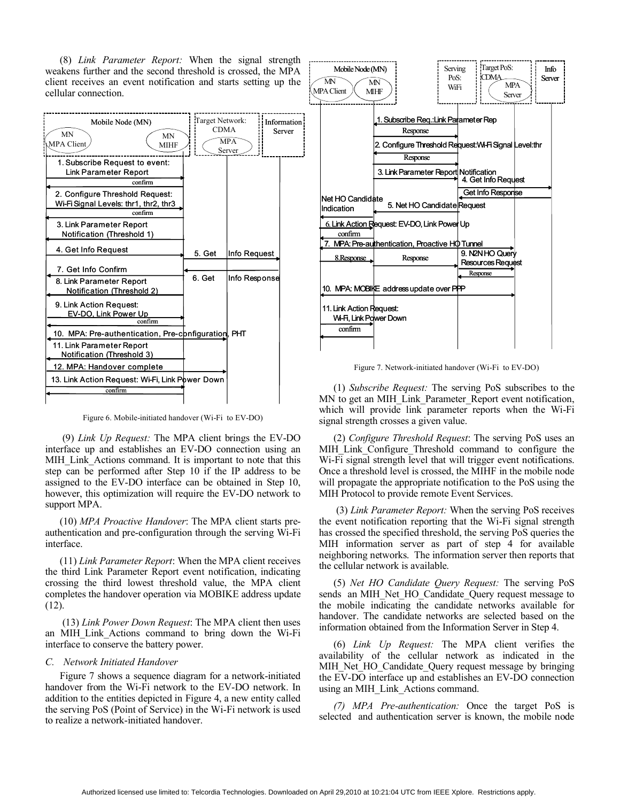(8) *Link Parameter Report:* When the signal strength weakens further and the second threshold is crossed, the MPA client receives an event notification and starts setting up the cellular connection.



Figure 6. Mobile-initiated handover (Wi-Fi to EV-DO)

(9) *Link Up Request:* The MPA client brings the EV-DO interface up and establishes an EV-DO connection using an MIH Link Actions command. It is important to note that this step can be performed after Step 10 if the IP address to be assigned to the EV-DO interface can be obtained in Step 10, however, this optimization will require the EV-DO network to support MPA.

(10) *MPA Proactive Handover*: The MPA client starts preauthentication and pre-configuration through the serving Wi-Fi interface.

(11) *Link Parameter Report*: When the MPA client receives the third Link Parameter Report event notification, indicating crossing the third lowest threshold value, the MPA client completes the handover operation via MOBIKE address update (12).

 (13) *Link Power Down Request*: The MPA client then uses an MIH\_Link\_Actions command to bring down the Wi-Fi interface to conserve the battery power.

#### *C. Network Initiated Handover*

Figure 7 shows a sequence diagram for a network-initiated handover from the Wi-Fi network to the EV-DO network. In addition to the entities depicted in Figure 4, a new entity called the serving PoS (Point of Service) in the Wi-Fi network is used to realize a network-initiated handover.



Figure 7. Network-initiated handover (Wi-Fi to EV-DO)

(1) *Subscribe Request:* The serving PoS subscribes to the MN to get an MIH\_Link\_Parameter\_Report event notification, which will provide link parameter reports when the Wi-Fi signal strength crosses a given value.

(2) *Configure Threshold Request*: The serving PoS uses an MIH Link Configure Threshold command to configure the Wi-Fi signal strength level that will trigger event notifications. Once a threshold level is crossed, the MIHF in the mobile node will propagate the appropriate notification to the PoS using the MIH Protocol to provide remote Event Services.

(3) *Link Parameter Report:* When the serving PoS receives the event notification reporting that the Wi-Fi signal strength has crossed the specified threshold, the serving PoS queries the MIH information server as part of step 4 for available neighboring networks. The information server then reports that the cellular network is available.

(5) *Net HO Candidate Query Request:* The serving PoS sends an MIH\_Net\_HO\_Candidate\_Query request message to the mobile indicating the candidate networks available for handover. The candidate networks are selected based on the information obtained from the Information Server in Step 4.

(6) *Link Up Request:* The MPA client verifies the availability of the cellular network as indicated in the MIH\_Net\_HO\_Candidate\_Query request message by bringing the EV-DO interface up and establishes an EV-DO connection using an MIH\_Link\_Actions command.

*(7) MPA Pre-authentication:* Once the target PoS is selected and authentication server is known, the mobile node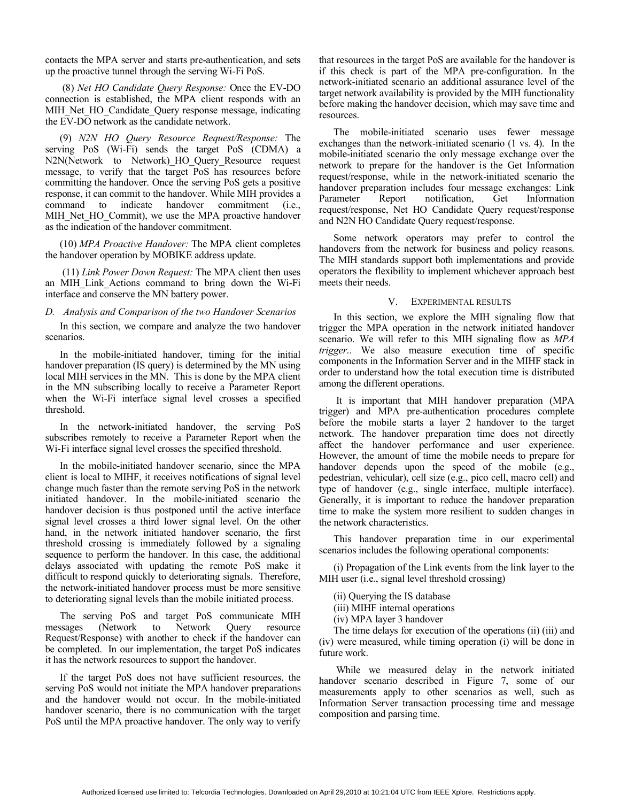contacts the MPA server and starts pre-authentication, and sets up the proactive tunnel through the serving Wi-Fi PoS.

(8) *Net HO Candidate Query Response:* Once the EV-DO connection is established, the MPA client responds with an MIH\_Net\_HO\_Candidate\_Query response message, indicating the EV-DO network as the candidate network.

(9) *N2N HO Query Resource Request/Response:* The serving PoS (Wi-Fi) sends the target PoS (CDMA) a N2N(Network to Network) HO Query Resource request message, to verify that the target PoS has resources before committing the handover. Once the serving PoS gets a positive response, it can commit to the handover. While MIH provides a command to indicate handover commitment (i.e., MIH Net HO Commit), we use the MPA proactive handover as the indication of the handover commitment.

(10) *MPA Proactive Handover:* The MPA client completes the handover operation by MOBIKE address update.

(11) *Link Power Down Request:* The MPA client then uses an MIH\_Link\_Actions command to bring down the Wi-Fi interface and conserve the MN battery power.

#### *D. Analysis and Comparison of the two Handover Scenarios*

In this section, we compare and analyze the two handover scenarios.

In the mobile-initiated handover, timing for the initial handover preparation (IS query) is determined by the MN using local MIH services in the MN. This is done by the MPA client in the MN subscribing locally to receive a Parameter Report when the Wi-Fi interface signal level crosses a specified threshold.

In the network-initiated handover, the serving PoS subscribes remotely to receive a Parameter Report when the Wi-Fi interface signal level crosses the specified threshold.

In the mobile-initiated handover scenario, since the MPA client is local to MIHF, it receives notifications of signal level change much faster than the remote serving PoS in the network initiated handover. In the mobile-initiated scenario the handover decision is thus postponed until the active interface signal level crosses a third lower signal level. On the other hand, in the network initiated handover scenario, the first threshold crossing is immediately followed by a signaling sequence to perform the handover. In this case, the additional delays associated with updating the remote PoS make it difficult to respond quickly to deteriorating signals. Therefore, the network-initiated handover process must be more sensitive to deteriorating signal levels than the mobile initiated process.

The serving PoS and target PoS communicate MIH messages (Network to Network Query resource Request/Response) with another to check if the handover can be completed. In our implementation, the target PoS indicates it has the network resources to support the handover.

If the target PoS does not have sufficient resources, the serving PoS would not initiate the MPA handover preparations and the handover would not occur. In the mobile-initiated handover scenario, there is no communication with the target PoS until the MPA proactive handover. The only way to verify

that resources in the target PoS are available for the handover is if this check is part of the MPA pre-configuration. In the network-initiated scenario an additional assurance level of the target network availability is provided by the MIH functionality before making the handover decision, which may save time and resources.

The mobile-initiated scenario uses fewer message exchanges than the network-initiated scenario (1 vs. 4). In the mobile-initiated scenario the only message exchange over the network to prepare for the handover is the Get Information request/response, while in the network-initiated scenario the handover preparation includes four message exchanges: Link Parameter Report notification, Get Information request/response, Net HO Candidate Query request/response and N2N HO Candidate Query request/response.

Some network operators may prefer to control the handovers from the network for business and policy reasons. The MIH standards support both implementations and provide operators the flexibility to implement whichever approach best meets their needs.

#### V. EXPERIMENTAL RESULTS

In this section, we explore the MIH signaling flow that trigger the MPA operation in the network initiated handover scenario. We will refer to this MIH signaling flow as *MPA trigger*.. We also measure execution time of specific components in the Information Server and in the MIHF stack in order to understand how the total execution time is distributed among the different operations.

It is important that MIH handover preparation (MPA trigger) and MPA pre-authentication procedures complete before the mobile starts a layer 2 handover to the target network. The handover preparation time does not directly affect the handover performance and user experience. However, the amount of time the mobile needs to prepare for handover depends upon the speed of the mobile (e.g., pedestrian, vehicular), cell size (e.g., pico cell, macro cell) and type of handover (e.g., single interface, multiple interface). Generally, it is important to reduce the handover preparation time to make the system more resilient to sudden changes in the network characteristics.

This handover preparation time in our experimental scenarios includes the following operational components:

(i) Propagation of the Link events from the link layer to the MIH user (i.e., signal level threshold crossing)

- (ii) Querying the IS database
- (iii) MIHF internal operations
- (iv) MPA layer 3 handover

The time delays for execution of the operations (ii) (iii) and (iv) were measured, while timing operation (i) will be done in future work.

 While we measured delay in the network initiated handover scenario described in Figure 7, some of our measurements apply to other scenarios as well, such as Information Server transaction processing time and message composition and parsing time.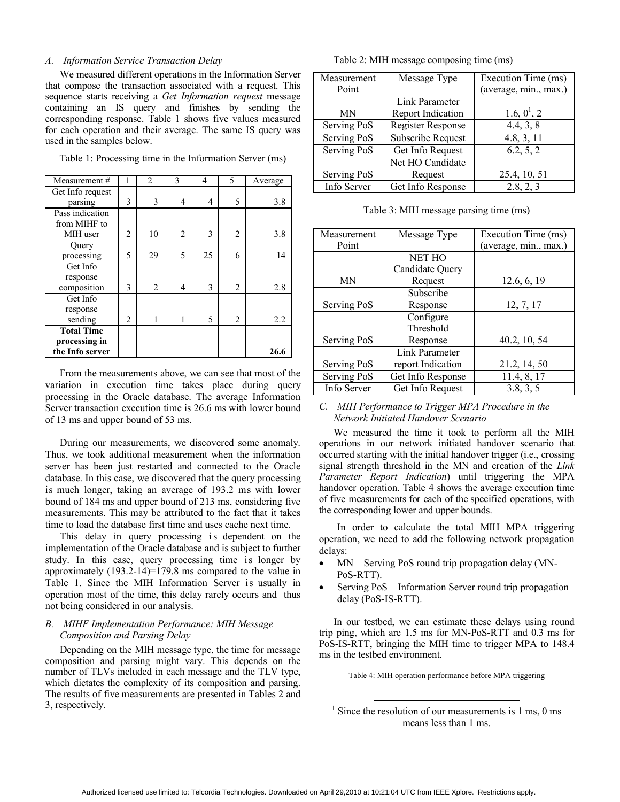## *A. Information Service Transaction Delay*

We measured different operations in the Information Server that compose the transaction associated with a request. This sequence starts receiving a *Get Information request* message containing an IS query and finishes by sending the corresponding response. Table 1 shows five values measured for each operation and their average. The same IS query was used in the samples below.

Table 1: Processing time in the Information Server (ms)

| Measurement#      |                | $\overline{2}$ | 3 | 4  | 5              | Average |
|-------------------|----------------|----------------|---|----|----------------|---------|
| Get Info request  |                |                |   |    |                |         |
| parsing           | 3              | 3              | 4 | 4  | 5              | 3.8     |
| Pass indication   |                |                |   |    |                |         |
| from MIHF to      |                |                |   |    |                |         |
| MIH user          | $\overline{c}$ | 10             | 2 | 3  | 2              | 3.8     |
| Query             |                |                |   |    |                |         |
| processing        | 5              | 29             | 5 | 25 | 6              | 14      |
| Get Info          |                |                |   |    |                |         |
| response          |                |                |   |    |                |         |
| composition       | 3              | $\overline{2}$ | 4 | 3  | $\overline{2}$ | 2.8     |
| Get Info          |                |                |   |    |                |         |
| response          |                |                |   |    |                |         |
| sending           | $\overline{c}$ |                |   | 5  | 2              | 2.2     |
| <b>Total Time</b> |                |                |   |    |                |         |
| processing in     |                |                |   |    |                |         |
| the Info server   |                |                |   |    |                | 26.6    |

From the measurements above, we can see that most of the variation in execution time takes place during query processing in the Oracle database. The average Information Server transaction execution time is 26.6 ms with lower bound of 13 ms and upper bound of 53 ms.

During our measurements, we discovered some anomaly. Thus, we took additional measurement when the information server has been just restarted and connected to the Oracle database. In this case, we discovered that the query processing is much longer, taking an average of 193.2 ms with lower bound of 184 ms and upper bound of 213 ms, considering five measurements. This may be attributed to the fact that it takes time to load the database first time and uses cache next time.

This delay in query processing is dependent on the implementation of the Oracle database and is subject to further study. In this case, query processing time is longer by approximately  $(193.2-14)=179.8$  ms compared to the value in Table 1. Since the MIH Information Server is usually in operation most of the time, this delay rarely occurs and thus not being considered in our analysis.

# *B. MIHF Implementation Performance: MIH Message Composition and Parsing Delay*

Depending on the MIH message type, the time for message composition and parsing might vary. This depends on the number of TLVs included in each message and the TLV type, which dictates the complexity of its composition and parsing. The results of five measurements are presented in Tables 2 and 3, respectively.

Table 2: MIH message composing time (ms)

| Measurement | Message Type      | Execution Time (ms)   |
|-------------|-------------------|-----------------------|
| Point       |                   | (average, min., max.) |
|             | Link Parameter    |                       |
| ΜN          | Report Indication | 1.6, $0^1$ , 2        |
| Serving PoS | Register Response | 4.4, 3, 8             |
| Serving PoS | Subscribe Request | 4.8, 3, 11            |
| Serving PoS | Get Info Request  | 6.2, 5, 2             |
|             | Net HO Candidate  |                       |
| Serving PoS | Request           | 25.4, 10, 51          |
| Info Server | Get Info Response | 2.8, 2, 3             |

Table 3: MIH message parsing time (ms)

| Measurement | Message Type      | Execution Time (ms)   |
|-------------|-------------------|-----------------------|
| Point       |                   | (average, min., max.) |
|             | <b>NET HO</b>     |                       |
|             | Candidate Query   |                       |
| ΜN          | Request           | 12.6, 6, 19           |
|             | Subscribe         |                       |
| Serving PoS | Response          | 12, 7, 17             |
|             | Configure         |                       |
|             | Threshold         |                       |
| Serving PoS | Response          | 40.2, 10, 54          |
|             | Link Parameter    |                       |
| Serving PoS | report Indication | 21.2, 14, 50          |
| Serving PoS | Get Info Response | 11.4, 8, 17           |
| Info Server | Get Info Request  | 3.8, 3, 5             |

# *C. MIH Performance to Trigger MPA Procedure in the Network Initiated Handover Scenario*

We measured the time it took to perform all the MIH operations in our network initiated handover scenario that occurred starting with the initial handover trigger (i.e., crossing signal strength threshold in the MN and creation of the *Link Parameter Report Indication*) until triggering the MPA handover operation. Table 4 shows the average execution time of five measurements for each of the specified operations, with the corresponding lower and upper bounds.

In order to calculate the total MIH MPA triggering operation, we need to add the following network propagation delays:

- MN Serving PoS round trip propagation delay (MN-PoS-RTT).
- Serving PoS Information Server round trip propagation delay (PoS-IS-RTT).

In our testbed, we can estimate these delays using round trip ping, which are 1.5 ms for MN-PoS-RTT and 0.3 ms for PoS-IS-RTT, bringing the MIH time to trigger MPA to 148.4 ms in the testbed environment.

Table 4: MIH operation performance before MPA triggering

 $1$  Since the resolution of our measurements is 1 ms, 0 ms means less than 1 ms.

-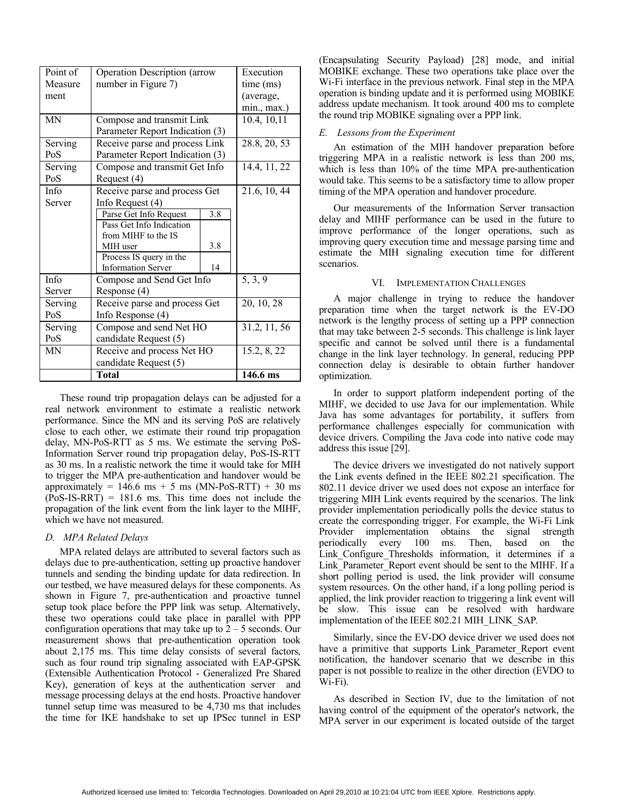| Point of  | <b>Operation Description (arrow</b> | Execution            |             |
|-----------|-------------------------------------|----------------------|-------------|
| Measure   | number in Figure 7)                 | time (ms)            |             |
| ment      |                                     | (average,            |             |
|           |                                     |                      | min., max.) |
| <b>MN</b> | Compose and transmit Link           | 10.4, 10, 11         |             |
|           | Parameter Report Indication (3)     |                      |             |
| Serving   | Receive parse and process Link      | 28.8, 20, 53         |             |
| PoS       | Parameter Report Indication (3)     |                      |             |
| Serving   | Compose and transmit Get Info       | 14.4, 11, 22         |             |
| PoS       | Request (4)                         |                      |             |
| Info      | Receive parse and process Get       | 21.6, 10, 44         |             |
| Server    | Info Request $(4)$                  |                      |             |
|           | Parse Get Info Request              | 3.8                  |             |
|           | Pass Get Info Indication            |                      |             |
|           | from MIHF to the IS                 |                      |             |
|           | MIH user                            | 3.8                  |             |
|           | Process IS query in the             |                      |             |
|           | <b>Information Server</b>           | 14                   |             |
| Info      | Compose and Send Get Info           | $\overline{5, 3, 9}$ |             |
| Server    | Response (4)                        |                      |             |
| Serving   | Receive parse and process Get       | 20, 10, 28           |             |
| PoS       | Info Response (4)                   |                      |             |
| Serving   | Compose and send Net HO             | 31.2, 11, 56         |             |
| PoS       | candidate Request (5)               |                      |             |
| MN        | Receive and process Net HO          | 15.2, 8, 22          |             |
|           | candidate Request (5)               |                      |             |
|           | Total                               |                      | 146.6 ms    |

These round trip propagation delays can be adjusted for a real network environment to estimate a realistic network performance. Since the MN and its serving PoS are relatively close to each other, we estimate their round trip propagation delay, MN-PoS-RTT as 5 ms. We estimate the serving PoS-Information Server round trip propagation delay, PoS-IS-RTT as 30 ms. In a realistic network the time it would take for MIH to trigger the MPA pre-authentication and handover would be approximately =  $146.6$  ms + 5 ms (MN-PoS-RTT) + 30 ms  $(PoS-IS-RRT) = 181.6$  ms. This time does not include the propagation of the link event from the link layer to the MIHF, which we have not measured.

#### *D. MPA Related Delays*

MPA related delays are attributed to several factors such as delays due to pre-authentication, setting up proactive handover tunnels and sending the binding update for data redirection. In our testbed, we have measured delays for these components. As shown in Figure 7, pre-authentication and proactive tunnel setup took place before the PPP link was setup. Alternatively, these two operations could take place in parallel with PPP configuration operations that may take up to  $2 - 5$  seconds. Our measurement shows that pre-authentication operation took about 2,175 ms. This time delay consists of several factors, such as four round trip signaling associated with EAP-GPSK (Extensible Authentication Protocol - Generalized Pre Shared Key), generation of keys at the authentication server and message processing delays at the end hosts. Proactive handover tunnel setup time was measured to be 4,730 ms that includes the time for IKE handshake to set up IPSec tunnel in ESP (Encapsulating Security Payload) [28] mode, and initial MOBIKE exchange. These two operations take place over the Wi-Fi interface in the previous network. Final step in the MPA operation is binding update and it is performed using MOBIKE address update mechanism. It took around 400 ms to complete the round trip MOBIKE signaling over a PPP link.

## *E. Lessons from the Experiment*

An estimation of the MIH handover preparation before triggering MPA in a realistic network is less than 200 ms, which is less than 10% of the time MPA pre-authentication would take. This seems to be a satisfactory time to allow proper timing of the MPA operation and handover procedure.

Our measurements of the Information Server transaction delay and MIHF performance can be used in the future to improve performance of the longer operations, such as improving query execution time and message parsing time and estimate the MIH signaling execution time for different scenarios.

#### VI. IMPLEMENTATION CHALLENGES

A major challenge in trying to reduce the handover preparation time when the target network is the EV-DO network is the lengthy process of setting up a PPP connection that may take between 2-5 seconds. This challenge is link layer specific and cannot be solved until there is a fundamental change in the link layer technology. In general, reducing PPP connection delay is desirable to obtain further handover optimization.

In order to support platform independent porting of the MIHF, we decided to use Java for our implementation. While Java has some advantages for portability, it suffers from performance challenges especially for communication with device drivers. Compiling the Java code into native code may address this issue [29].

The device drivers we investigated do not natively support the Link events defined in the IEEE 802.21 specification. The 802.11 device driver we used does not expose an interface for triggering MIH Link events required by the scenarios. The link provider implementation periodically polls the device status to create the corresponding trigger. For example, the Wi-Fi Link Provider implementation obtains the signal strength periodically every 100 ms. Then, based on the Link\_Configure\_Thresholds information, it determines if a Link Parameter Report event should be sent to the MIHF. If a short polling period is used, the link provider will consume system resources. On the other hand, if a long polling period is applied, the link provider reaction to triggering a link event will be slow. This issue can be resolved with hardware implementation of the IEEE 802.21 MIH\_LINK\_SAP*.*

Similarly, since the EV-DO device driver we used does not have a primitive that supports Link Parameter Report event notification, the handover scenario that we describe in this paper is not possible to realize in the other direction (EVDO to Wi-Fi).

As described in Section IV, due to the limitation of not having control of the equipment of the operator's network, the MPA server in our experiment is located outside of the target